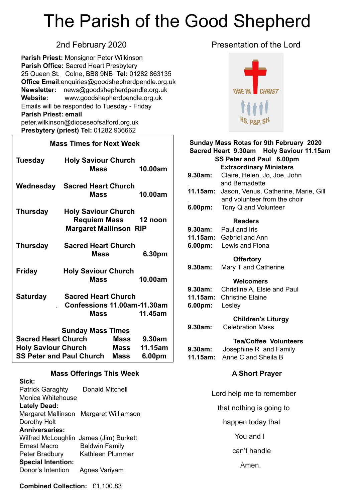# The Parish of the Good Shepherd

**Parish Priest:** Monsignor Peter Wilkinson **Parish Office:** Sacred Heart Presbytery 25 Queen St. Colne, BB8 9NB **Tel:** 01282 863135 **Office Email**[:enquiries@goodshepherdpendle.org.uk](mailto:enquiries@goodshepherdpendle.org.uk) **Newsletter:** news@goodshepherdpendle.org.uk **Website:** www.goodshepherdpendle.org.uk Emails will be responded to Tuesday - Friday **Parish Priest: email**  [peter.wilkinson@dioceseofsalford.org.uk](mailto:Emailpeter.wilkinson@dioceseofsalford.org.uk) **Presbytery (priest) Tel:** 01282 936662

#### **Mass Times for Next Week**

| Tuesday                                           | <b>Holy Saviour Church</b><br><b>Mass</b>                                           | 10.00am |  |
|---------------------------------------------------|-------------------------------------------------------------------------------------|---------|--|
| Wednesday                                         | <b>Sacred Heart Church</b><br>Mass                                                  | 10.00am |  |
| <b>Thursday</b>                                   | <b>Holy Saviour Church</b><br>Requiem Mass 12 noon<br><b>Margaret Mallinson RIP</b> |         |  |
| <b>Thursday</b>                                   | <b>Sacred Heart Church</b><br><b>Mass</b><br>6.30pm                                 |         |  |
| <b>Friday</b>                                     | <b>Holy Saviour Church</b><br><b>Mass</b>                                           | 10.00am |  |
| <b>Saturday</b>                                   | <b>Sacred Heart Church</b><br>Confessions 11.00am-11.30am<br><b>Mass</b>            | 11.45am |  |
| <b>Sunday Mass Times</b>                          |                                                                                     |         |  |
| <b>Sacred Heart Church</b><br>Mass 9.30am         |                                                                                     |         |  |
| <b>Holy Saviour Church</b><br>Mass<br>11.15am     |                                                                                     |         |  |
| <b>SS Peter and Paul Church</b><br>Mass<br>6.00pm |                                                                                     |         |  |

#### **Mass Offerings This Week**

| Sick:                     |                                        |
|---------------------------|----------------------------------------|
| <b>Patrick Garaghty</b>   | Donald Mitchell                        |
| Monica Whitehouse         |                                        |
| <b>Lately Dead:</b>       |                                        |
| Margaret Mallinson        | Margaret Williamson                    |
| Dorothy Holt              |                                        |
| <b>Anniversaries:</b>     |                                        |
|                           | Wilfred McLoughlin James (Jim) Burkett |
| Ernest Macro              | <b>Baldwin Family</b>                  |
| Peter Bradbury            | Kathleen Plummer                       |
| <b>Special Intention:</b> |                                        |
| Donor's Intention         | Agnes Variyam                          |
|                           |                                        |

### 2nd February 2020 **Presentation of the Lord**



### **Sunday Mass Rotas for 9th February 2020 Sacred Heart 9.30am Holy Saviour 11.15am SS Peter and Paul 6.00pm Extraordinary Ministers 9.30am:** Claire, Helen, Jo, Joe, John . and Bernadette **11.15am:** Jason, Venus, Catherine, Marie, Gill . and volunteer from the choir **6.00pm:** Tony Q and Volunteer  **Readers 9.30am:** Paul and Iris **11.15am:** Gabriel and Ann **6.00pm:** Lewis and Fiona  **Offertory 9.30am:** Mary T and Catherine  **Welcomers 9.30am:** Christine A, Elsie and Paul **11.15am:** Christine Elaine **6.00pm:** Lesley  **Children's Liturgy 9.30am:** Celebration Mass **Tea/Coffee Volunteers 9.30am:** Josephine R and Family **11.15am:** Anne C and Sheila B  **A Short Prayer**

 Lord help me to remember that nothing is going to happen today that You and I can't handle Amen.

**Combined Collection:** £1,100.83